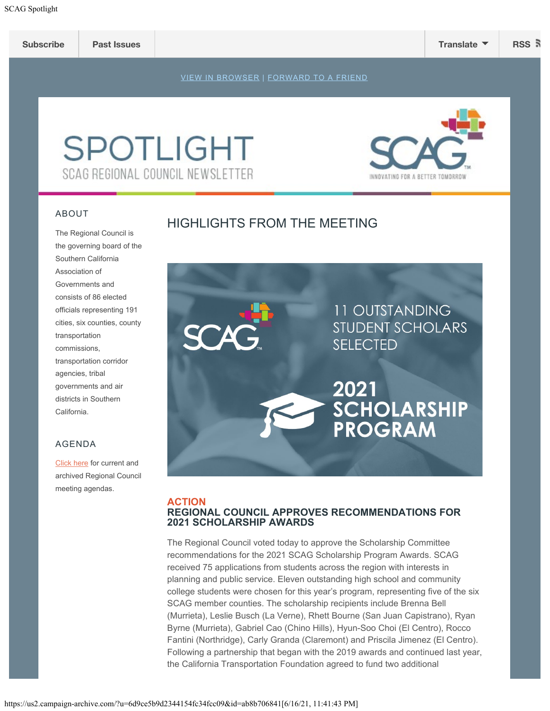

# **SPOTLIGHT** SCAG REGIONAL COUNCIL NEWSLETTER

#### ABOUT

# HIGHLIGHTS FROM THE MEETING

The Regional Council is the governing board of the Southern California Association of Governments and consists of 86 elected officials representing 191 cities, six counties, county transportation commissions, transportation corridor agencies, tribal governments and air districts in Southern California.

# AGENDA

[Click](https://scag.ca.gov/meetings-agendas) here for current and archived Regional Council meeting agendas.



#### **ACTION REGIONAL COUNCIL APPROVES RECOMMENDATIONS FOR 2021 SCHOLARSHIP AWARDS**

The Regional Council voted today to approve the Scholarship Committee recommendations for the 2021 SCAG Scholarship Program Awards. SCAG received 75 applications from students across the region with interests in planning and public service. Eleven outstanding high school and community college students were chosen for this year's program, representing five of the six SCAG member counties. The scholarship recipients include Brenna Bell (Murrieta), Leslie Busch (La Verne), Rhett Bourne (San Juan Capistrano), Ryan Byrne (Murrieta), Gabriel Cao (Chino Hills), Hyun-Soo Choi (El Centro), Rocco Fantini (Northridge), Carly Granda (Claremont) and Priscila Jimenez (El Centro). Following a partnership that began with the 2019 awards and continued last year, the California Transportation Foundation agreed to fund two additional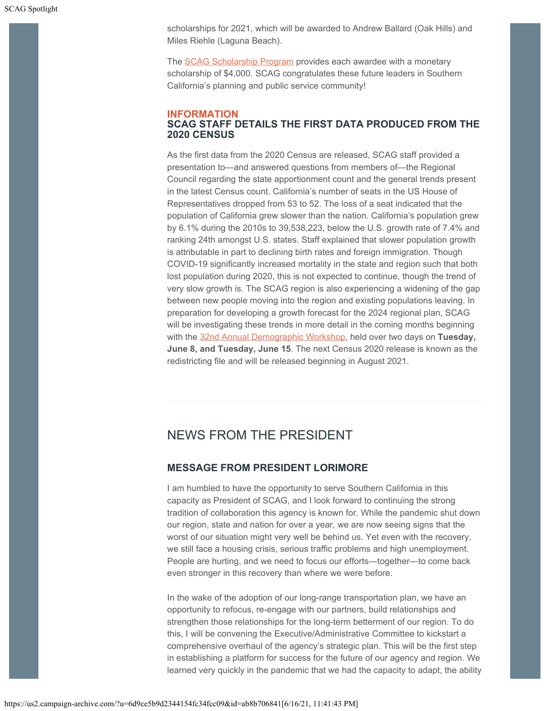scholarships for 2021, which will be awarded to Andrew Ballard (Oak Hills) and Miles Riehle (Laguna Beach).

The [SCAG Scholarship Program](https://scag.ca.gov/scholarship) provides each awardee with a monetary scholarship of \$4,000. SCAG congratulates these future leaders in Southern California's planning and public service community!

#### **INFORMATION SCAG STAFF DETAILS THE FIRST DATA PRODUCED FROM THE 2020 CENSUS**

As the first data from the 2020 Census are released, SCAG staff provided a presentation to—and answered questions from members of—the Regional Council regarding the state apportionment count and the general trends present in the latest Census count. California's number of seats in the US House of Representatives dropped from 53 to 52. The loss of a seat indicated that the population of California grew slower than the nation. California's population grew by 6.1% during the 2010s to 39,538,223, below the U.S. growth rate of 7.4% and ranking 24th amongst U.S. states. Staff explained that slower population growth is attributable in part to declining birth rates and foreign immigration. Though COVID-19 significantly increased mortality in the state and region such that both lost population during 2020, this is not expected to continue, though the trend of very slow growth is. The SCAG region is also experiencing a widening of the gap between new people moving into the region and existing populations leaving. In preparation for developing a growth forecast for the 2024 regional plan, SCAG will be investigating these trends in more detail in the coming months beginning with the [32nd Annual Demographic Workshop](https://scag.ca.gov/demographics), held over two days on **Tuesday, June 8, and Tuesday, June 15**. The next Census 2020 release is known as the redistricting file and will be released beginning in August 2021.

# NEWS FROM THE PRESIDENT

# **MESSAGE FROM PRESIDENT LORIMORE**

I am humbled to have the opportunity to serve Southern California in this capacity as President of SCAG, and I look forward to continuing the strong tradition of collaboration this agency is known for. While the pandemic shut down our region, state and nation for over a year, we are now seeing signs that the worst of our situation might very well be behind us. Yet even with the recovery, we still face a housing crisis, serious traffic problems and high unemployment. People are hurting, and we need to focus our efforts—together—to come back even stronger in this recovery than where we were before.

In the wake of the adoption of our long-range transportation plan, we have an opportunity to refocus, re-engage with our partners, build relationships and strengthen those relationships for the long-term betterment of our region. To do this, I will be convening the Executive/Administrative Committee to kickstart a comprehensive overhaul of the agency's strategic plan. This will be the first step in establishing a platform for success for the future of our agency and region. We learned very quickly in the pandemic that we had the capacity to adapt, the ability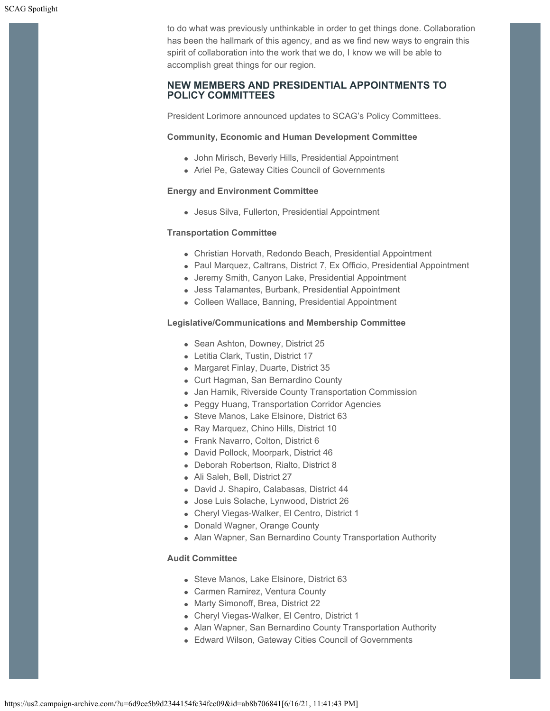to do what was previously unthinkable in order to get things done. Collaboration has been the hallmark of this agency, and as we find new ways to engrain this spirit of collaboration into the work that we do, I know we will be able to accomplish great things for our region.

## **NEW MEMBERS AND PRESIDENTIAL APPOINTMENTS TO POLICY COMMITTEES**

President Lorimore announced updates to SCAG's Policy Committees.

#### **Community, Economic and Human Development Committee**

- John Mirisch, Beverly Hills, Presidential Appointment
- Ariel Pe, Gateway Cities Council of Governments

#### **Energy and Environment Committee**

Jesus Silva, Fullerton, Presidential Appointment

#### **Transportation Committee**

- Christian Horvath, Redondo Beach, Presidential Appointment
- Paul Marquez, Caltrans, District 7, Ex Officio, Presidential Appointment
- Jeremy Smith, Canyon Lake, Presidential Appointment
- Jess Talamantes, Burbank, Presidential Appointment
- Colleen Wallace, Banning, Presidential Appointment

#### **Legislative/Communications and Membership Committee**

- Sean Ashton, Downey, District 25
- Letitia Clark, Tustin, District 17
- Margaret Finlay, Duarte, District 35
- Curt Hagman, San Bernardino County
- Jan Harnik, Riverside County Transportation Commission
- Peggy Huang, Transportation Corridor Agencies
- Steve Manos, Lake Elsinore, District 63
- Ray Marquez, Chino Hills, District 10
- Frank Navarro, Colton, District 6
- David Pollock, Moorpark, District 46
- Deborah Robertson, Rialto, District 8
- Ali Saleh, Bell, District 27
- David J. Shapiro, Calabasas, District 44
- Jose Luis Solache, Lynwood, District 26
- Cheryl Viegas-Walker, El Centro, District 1
- Donald Wagner, Orange County
- Alan Wapner, San Bernardino County Transportation Authority

#### **Audit Committee**

- Steve Manos, Lake Elsinore, District 63
- Carmen Ramirez, Ventura County
- Marty Simonoff, Brea, District 22
- Cheryl Viegas-Walker, El Centro, District 1
- Alan Wapner, San Bernardino County Transportation Authority
- Edward Wilson, Gateway Cities Council of Governments

https://us2.campaign-archive.com/?u=6d9ce5b9d2344154fc34fcc09&id=ab8b706841[6/16/21, 11:41:43 PM]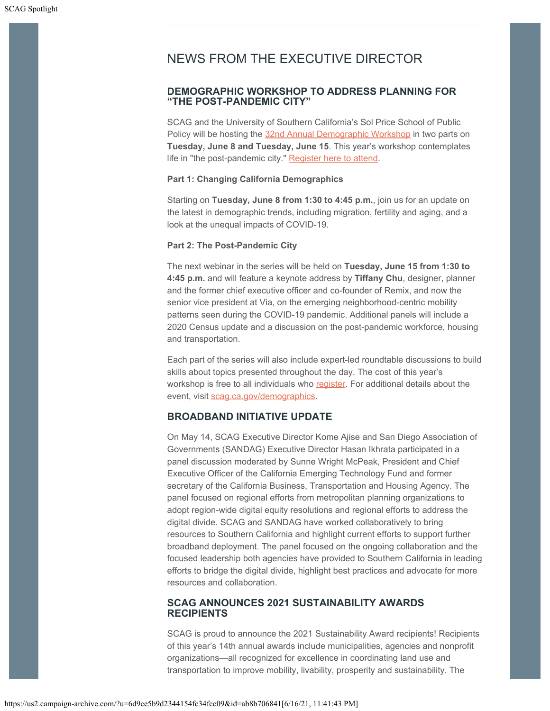# NEWS FROM THE EXECUTIVE DIRECTOR

## **DEMOGRAPHIC WORKSHOP TO ADDRESS PLANNING FOR "THE POST-PANDEMIC CITY"**

SCAG and the University of Southern California's Sol Price School of Public Policy will be hosting the [32nd Annual Demographic Workshop](https://scag.ca.gov/demographics) in two parts on **Tuesday, June 8 and Tuesday, June 15**. This year's workshop contemplates life in "the post-pandemic city." [Register here to attend](https://scag.wufoo.com/forms/mdy21yw0ujbp3m).

#### **Part 1: Changing California Demographics**

Starting on **Tuesday, June 8 from 1:30 to 4:45 p.m.**, join us for an update on the latest in demographic trends, including migration, fertility and aging, and a look at the unequal impacts of COVID-19.

#### **Part 2: The Post-Pandemic City**

The next webinar in the series will be held on **Tuesday, June 15 from 1:30 to 4:45 p.m.** and will feature a keynote address by **Tiffany Chu**, designer, planner and the former chief executive officer and co-founder of Remix, and now the senior vice president at Via, on the emerging neighborhood-centric mobility patterns seen during the COVID-19 pandemic. Additional panels will include a 2020 Census update and a discussion on the post-pandemic workforce, housing and transportation.

Each part of the series will also include expert-led roundtable discussions to build skills about topics presented throughout the day. The cost of this year's workshop is free to all individuals who [register](https://scag.wufoo.com/forms/mdy21yw0ujbp3m). For additional details about the event, visit [scag.ca.gov/demographics](https://scag.ca.gov/demographics).

# **BROADBAND INITIATIVE UPDATE**

On May 14, SCAG Executive Director Kome Ajise and San Diego Association of Governments (SANDAG) Executive Director Hasan Ikhrata participated in a panel discussion moderated by Sunne Wright McPeak, President and Chief Executive Officer of the California Emerging Technology Fund and former secretary of the California Business, Transportation and Housing Agency. The panel focused on regional efforts from metropolitan planning organizations to adopt region-wide digital equity resolutions and regional efforts to address the digital divide. SCAG and SANDAG have worked collaboratively to bring resources to Southern California and highlight current efforts to support further broadband deployment. The panel focused on the ongoing collaboration and the focused leadership both agencies have provided to Southern California in leading efforts to bridge the digital divide, highlight best practices and advocate for more resources and collaboration.

## **SCAG ANNOUNCES 2021 SUSTAINABILITY AWARDS RECIPIENTS**

SCAG is proud to announce the 2021 Sustainability Award recipients! Recipients of this year's 14th annual awards include municipalities, agencies and nonprofit organizations—all recognized for excellence in coordinating land use and transportation to improve mobility, livability, prosperity and sustainability. The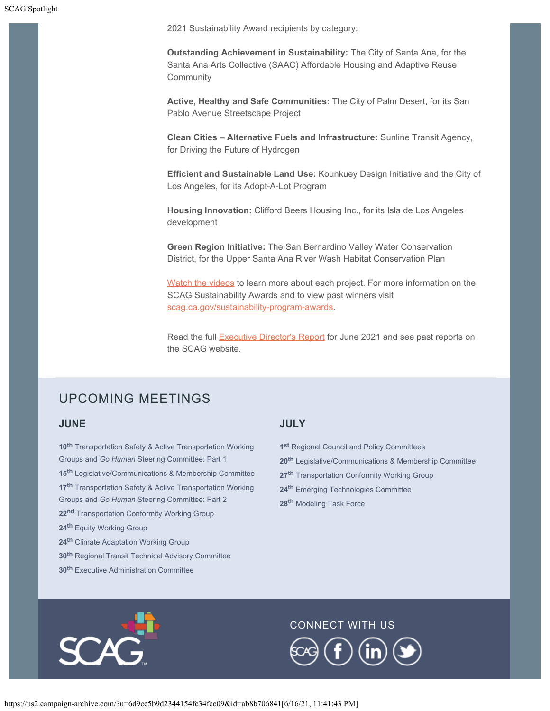SCAG Spotlight

2021 Sustainability Award recipients by category:

**Outstanding Achievement in Sustainability:** The City of Santa Ana, for the Santa Ana Arts Collective (SAAC) Affordable Housing and Adaptive Reuse Community

**Active, Healthy and Safe Communities:** The City of Palm Desert, for its San Pablo Avenue Streetscape Project

**Clean Cities – Alternative Fuels and Infrastructure:** Sunline Transit Agency, for Driving the Future of Hydrogen

**Efficient and Sustainable Land Use:** Kounkuey Design Initiative and the City of Los Angeles, for its Adopt-A-Lot Program

**Housing Innovation:** Clifford Beers Housing Inc., for its Isla de Los Angeles development

**Green Region Initiative:** The San Bernardino Valley Water Conservation District, for the Upper Santa Ana River Wash Habitat Conservation Plan

[Watch the videos](https://www.youtube.com/playlist?list=PLvuW4BYdYqPU0B0lYnYUAu2kuWP3TfK9r) to learn more about each project. For more information on the SCAG Sustainability Awards and to view past winners visit [scag.ca.gov/sustainability-program-awards](https://scag.ca.gov/sustainability-program-awards).

Read the full **Executive Director's Report** for June 2021 and see past reports on the SCAG website.

# UPCOMING MEETINGS

#### **JUNE**

**th** Transportation Safety & Active Transportation Working Groups and *Go Human* Steering Committee: Part 1 **th** Legislative/Communications & Membership Committee **th** Transportation Safety & Active Transportation Working Groups and *Go Human* Steering Committee: Part 2 **nd** Transportation Conformity Working Group **th** Equity Working Group **th** Climate Adaptation Working Group **th** Regional Transit Technical Advisory Committee

**30th** Executive Administration Committee

## **JULY**

**1st** Regional Council and Policy Committees

- **20th** Legislative/Communications & Membership Committee
- **27th** Transportation Conformity Working Group
- **24th** Emerging Technologies Committee
- **28th** Modeling Task Force



## CONNECT WITH US